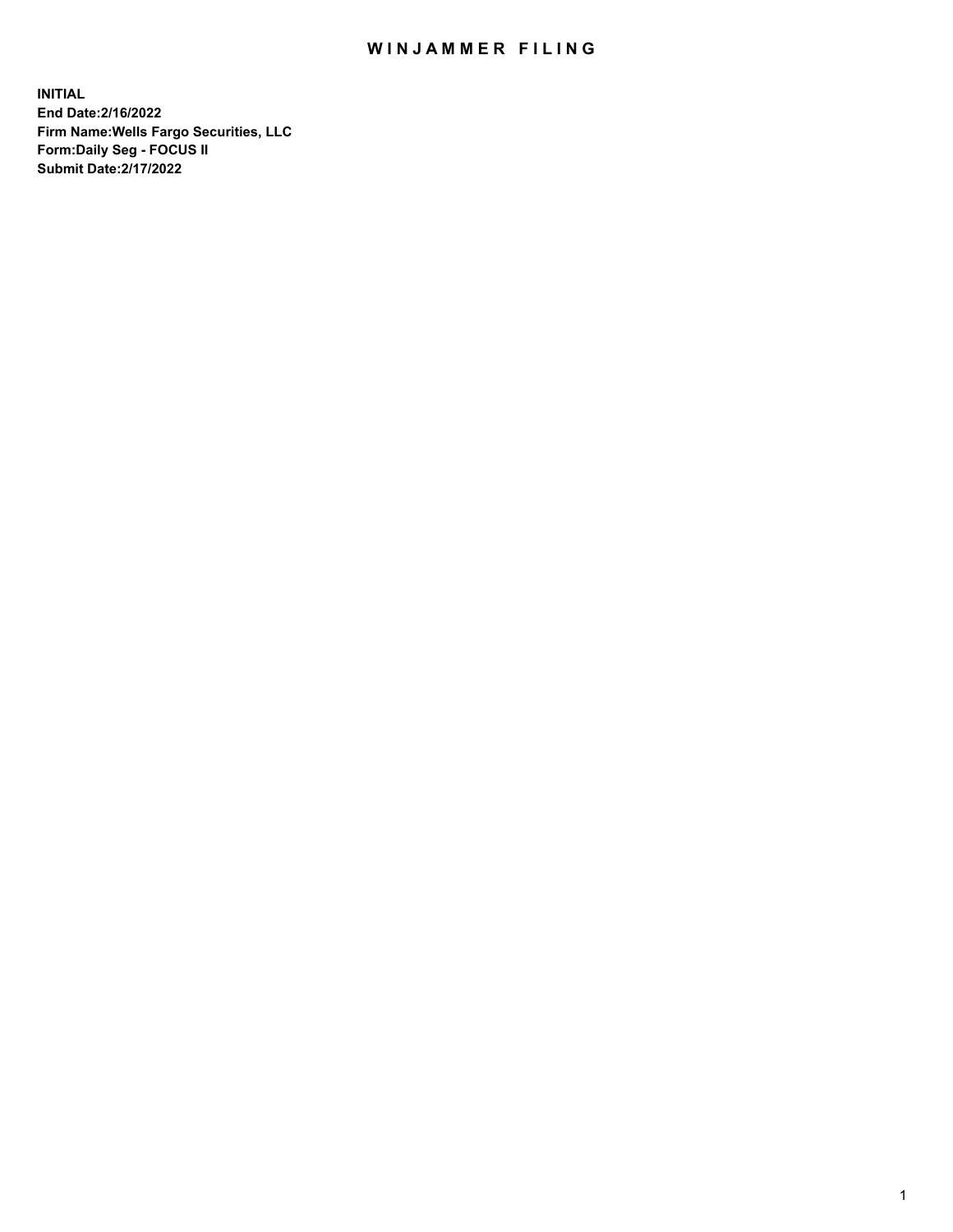## WIN JAMMER FILING

**INITIAL End Date:2/16/2022 Firm Name:Wells Fargo Securities, LLC Form:Daily Seg - FOCUS II Submit Date:2/17/2022**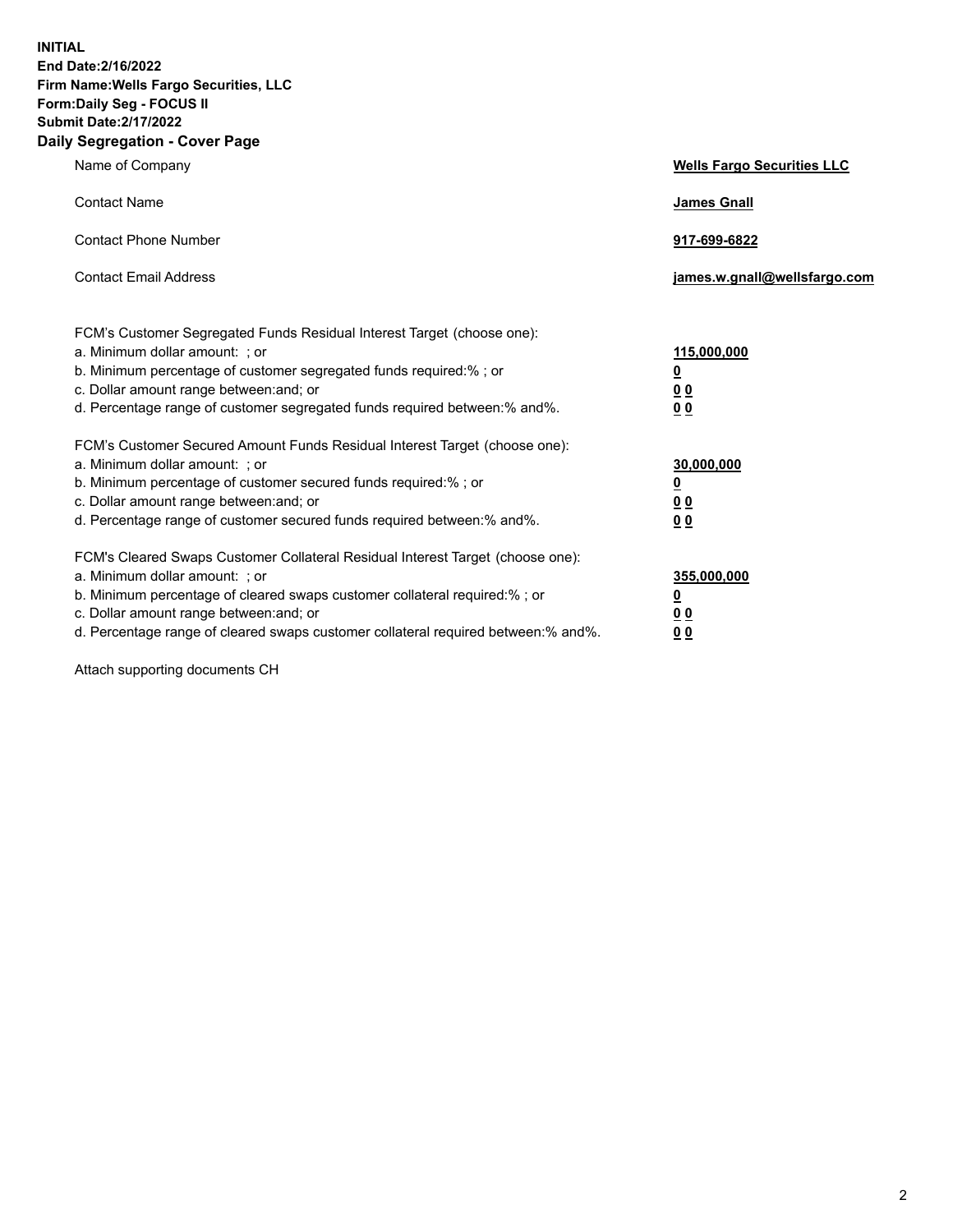**INITIAL End Date:2/16/2022 Firm Name:Wells Fargo Securities, LLC Form:Daily Seg - FOCUS II Submit Date:2/17/2022 Daily Segregation - Cover Page**

| Name of Company                                                                                                                                                                                                                                                                                                                | <b>Wells Fargo Securities LLC</b>                           |
|--------------------------------------------------------------------------------------------------------------------------------------------------------------------------------------------------------------------------------------------------------------------------------------------------------------------------------|-------------------------------------------------------------|
| <b>Contact Name</b>                                                                                                                                                                                                                                                                                                            | <b>James Gnall</b>                                          |
| <b>Contact Phone Number</b>                                                                                                                                                                                                                                                                                                    | 917-699-6822                                                |
| <b>Contact Email Address</b>                                                                                                                                                                                                                                                                                                   | james.w.gnall@wellsfargo.com                                |
| FCM's Customer Segregated Funds Residual Interest Target (choose one):<br>a. Minimum dollar amount: ; or<br>b. Minimum percentage of customer segregated funds required:% ; or<br>c. Dollar amount range between: and; or<br>d. Percentage range of customer segregated funds required between:% and%.                         | 115,000,000<br><u>0</u><br>0 <sub>0</sub><br>0 <sub>0</sub> |
| FCM's Customer Secured Amount Funds Residual Interest Target (choose one):<br>a. Minimum dollar amount: ; or<br>b. Minimum percentage of customer secured funds required:%; or<br>c. Dollar amount range between: and; or<br>d. Percentage range of customer secured funds required between:% and%.                            | 30,000,000<br><u>0</u><br>00<br>0 <sub>0</sub>              |
| FCM's Cleared Swaps Customer Collateral Residual Interest Target (choose one):<br>a. Minimum dollar amount: ; or<br>b. Minimum percentage of cleared swaps customer collateral required:% ; or<br>c. Dollar amount range between: and; or<br>d. Percentage range of cleared swaps customer collateral required between:% and%. | 355,000,000<br><u>0</u><br>0 <sub>0</sub><br>0 <sub>0</sub> |

Attach supporting documents CH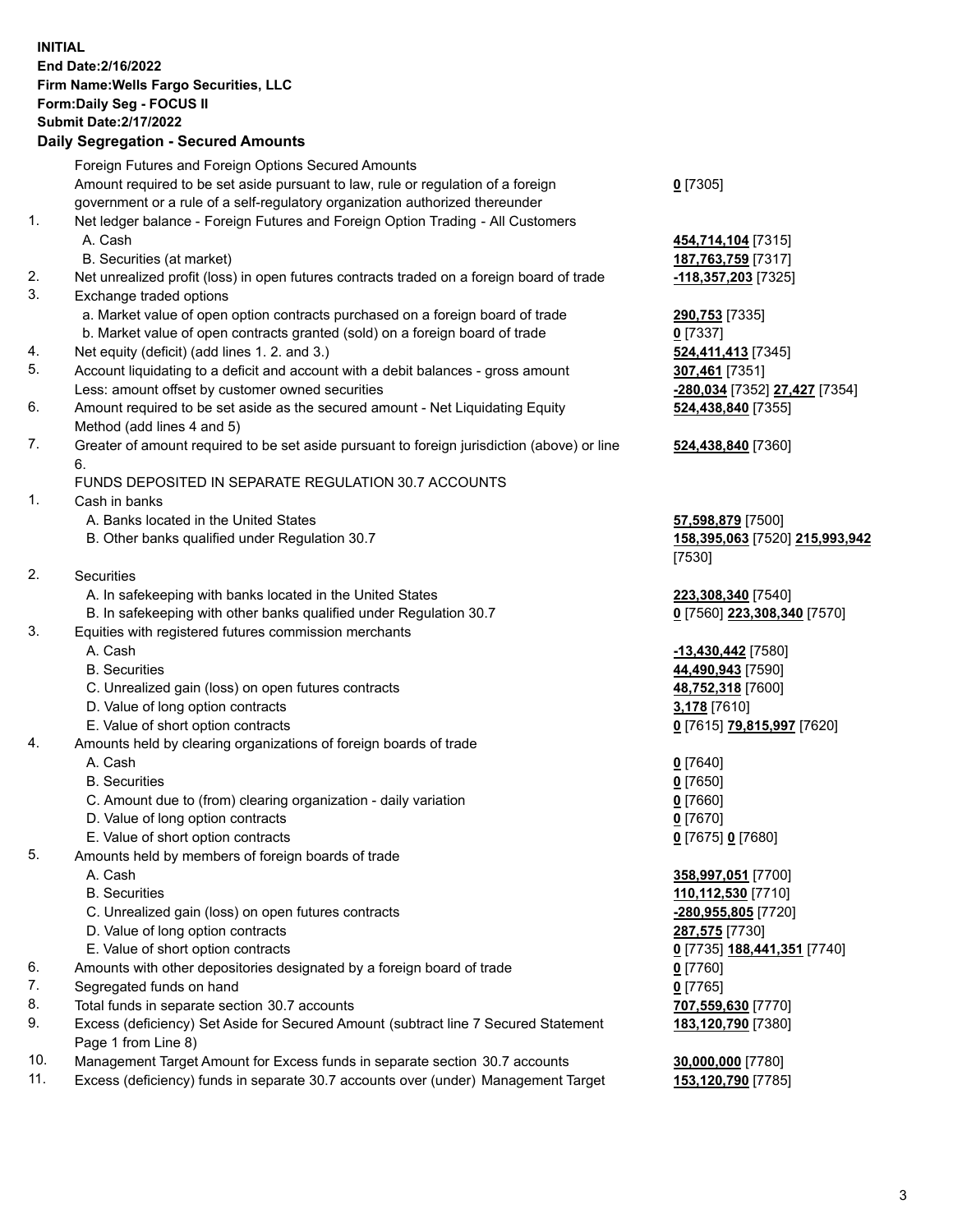**INITIAL End Date:2/16/2022 Firm Name:Wells Fargo Securities, LLC Form:Daily Seg - FOCUS II Submit Date:2/17/2022 Daily Segregation - Secured Amounts**

## Foreign Futures and Foreign Options Secured Amounts Amount required to be set aside pursuant to law, rule or regulation of a foreign government or a rule of a self-regulatory organization authorized thereunder 1. Net ledger balance - Foreign Futures and Foreign Option Trading - All Customers A. Cash **454,714,104** [7315] B. Securities (at market) **187,763,759** [7317] 2. Net unrealized profit (loss) in open futures contracts traded on a foreign board of trade **-118,357,203** [7325] 3. Exchange traded options a. Market value of open option contracts purchased on a foreign board of trade **290,753** [7335] b. Market value of open contracts granted (sold) on a foreign board of trade **0** [7337] 4. Net equity (deficit) (add lines 1. 2. and 3.) **524,411,413** [7345] 5. Account liquidating to a deficit and account with a debit balances - gross amount **307,461** [7351] Less: amount offset by customer owned securities **-280,034** [7352] **27,427** [7354] 6. Amount required to be set aside as the secured amount - Net Liquidating Equity Method (add lines 4 and 5) 7. Greater of amount required to be set aside pursuant to foreign jurisdiction (above) or line 6. FUNDS DEPOSITED IN SEPARATE REGULATION 30.7 ACCOUNTS 1. Cash in banks

- A. Banks located in the United States **57,598,879** [7500]
- B. Other banks qualified under Regulation 30.7 **158,395,063** [7520] **215,993,942**
- 2. Securities
	- A. In safekeeping with banks located in the United States **223,308,340** [7540]
- B. In safekeeping with other banks qualified under Regulation 30.7 **0** [7560] **223,308,340** [7570]
- 3. Equities with registered futures commission merchants
	-
	-
	- C. Unrealized gain (loss) on open futures contracts **48,752,318** [7600]
	- D. Value of long option contracts **3,178** [7610]
	- E. Value of short option contracts **0** [7615] **79,815,997** [7620]
- 4. Amounts held by clearing organizations of foreign boards of trade

## A. Cash **0** [7640]

- B. Securities **0** [7650]
- C. Amount due to (from) clearing organization daily variation **0** [7660]
- D. Value of long option contracts **0** [7670]
- E. Value of short option contracts **0** [7675] **0** [7680]
- 5. Amounts held by members of foreign boards of trade
	-
	-
	- C. Unrealized gain (loss) on open futures contracts **-280,955,805** [7720]
	- D. Value of long option contracts **287,575** [7730]
	- E. Value of short option contracts **0** [7735] **188,441,351** [7740]
- 6. Amounts with other depositories designated by a foreign board of trade **0** [7760]
- 7. Segregated funds on hand **0** [7765]
- 8. Total funds in separate section 30.7 accounts **707,559,630** [7770]
- 9. Excess (deficiency) Set Aside for Secured Amount (subtract line 7 Secured Statement Page 1 from Line 8)
- 10. Management Target Amount for Excess funds in separate section 30.7 accounts **30,000,000** [7780]
- 11. Excess (deficiency) funds in separate 30.7 accounts over (under) Management Target **153,120,790** [7785]

**0** [7305]

**524,438,840** [7355]

## **524,438,840** [7360]

[7530]

 A. Cash **-13,430,442** [7580] B. Securities **44,490,943** [7590]

 A. Cash **358,997,051** [7700] B. Securities **110,112,530** [7710] **183,120,790** [7380]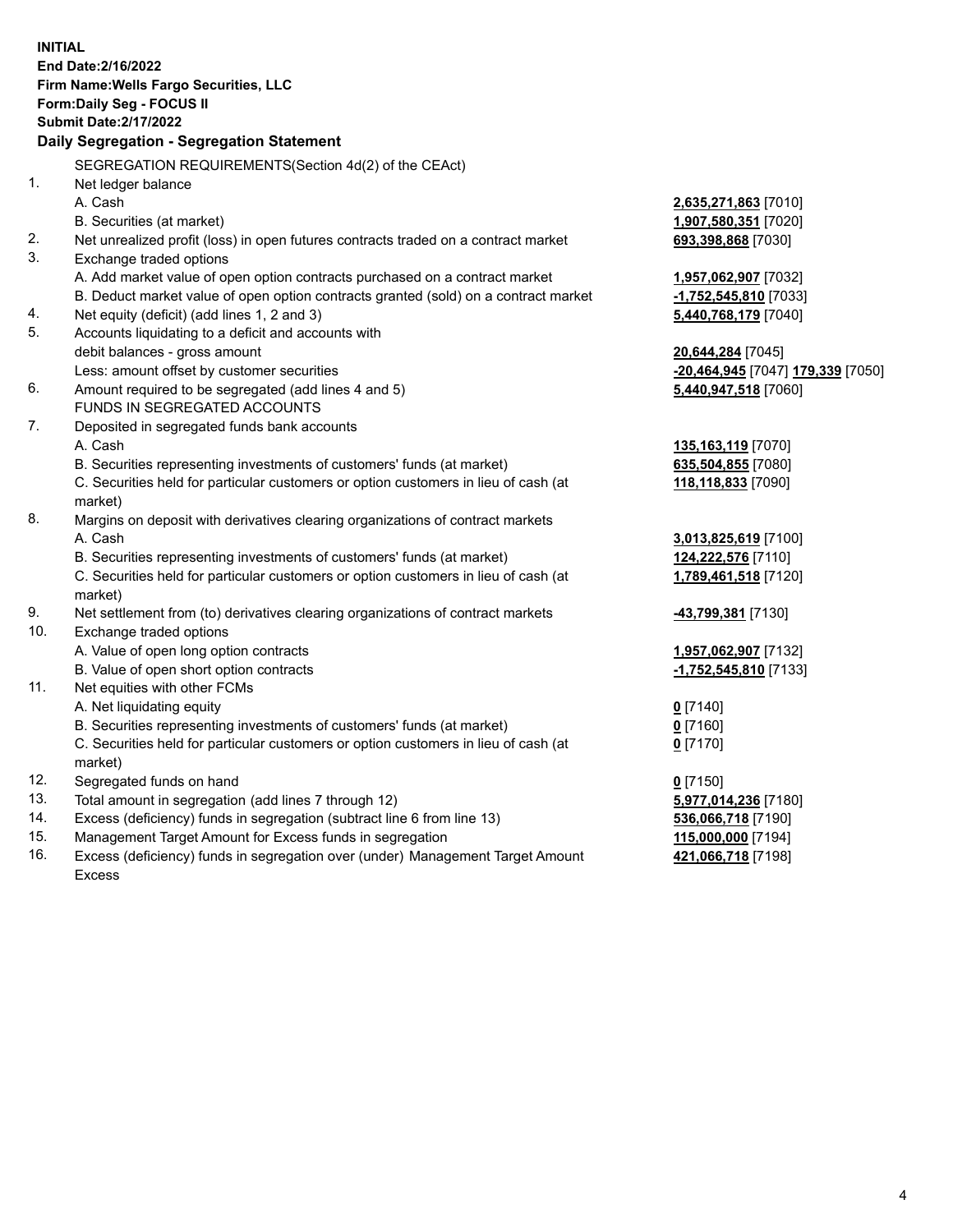**INITIAL End Date:2/16/2022 Firm Name:Wells Fargo Securities, LLC Form:Daily Seg - FOCUS II Submit Date:2/17/2022 Daily Segregation - Segregation Statement** SEGREGATION REQUIREMENTS(Section 4d(2) of the CEAct) 1. Net ledger balance A. Cash **2,635,271,863** [7010] B. Securities (at market) **1,907,580,351** [7020] 2. Net unrealized profit (loss) in open futures contracts traded on a contract market **693,398,868** [7030] 3. Exchange traded options A. Add market value of open option contracts purchased on a contract market **1,957,062,907** [7032] B. Deduct market value of open option contracts granted (sold) on a contract market **-1,752,545,810** [7033] 4. Net equity (deficit) (add lines 1, 2 and 3) **5,440,768,179** [7040] 5. Accounts liquidating to a deficit and accounts with debit balances - gross amount **20,644,284** [7045] Less: amount offset by customer securities **-20,464,945** [7047] **179,339** [7050] 6. Amount required to be segregated (add lines 4 and 5) **5,440,947,518** [7060] FUNDS IN SEGREGATED ACCOUNTS 7. Deposited in segregated funds bank accounts A. Cash **135,163,119** [7070] B. Securities representing investments of customers' funds (at market) **635,504,855** [7080] C. Securities held for particular customers or option customers in lieu of cash (at market) **118,118,833** [7090] 8. Margins on deposit with derivatives clearing organizations of contract markets A. Cash **3,013,825,619** [7100] B. Securities representing investments of customers' funds (at market) **124,222,576** [7110] C. Securities held for particular customers or option customers in lieu of cash (at market) **1,789,461,518** [7120] 9. Net settlement from (to) derivatives clearing organizations of contract markets **-43,799,381** [7130] 10. Exchange traded options A. Value of open long option contracts **1,957,062,907** [7132] B. Value of open short option contracts **-1,752,545,810** [7133] 11. Net equities with other FCMs A. Net liquidating equity **0** [7140] B. Securities representing investments of customers' funds (at market) **0** [7160] C. Securities held for particular customers or option customers in lieu of cash (at market) **0** [7170] 12. Segregated funds on hand **0** [7150] 13. Total amount in segregation (add lines 7 through 12) **5,977,014,236** [7180] 14. Excess (deficiency) funds in segregation (subtract line 6 from line 13) **536,066,718** [7190] 15. Management Target Amount for Excess funds in segregation **115,000,000** [7194] 16. Excess (deficiency) funds in segregation over (under) Management Target Amount **421,066,718** [7198]

Excess